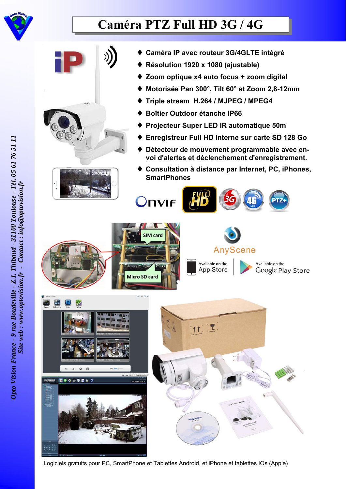

## **Caméra PTZ Full HD 3G / 4G**



Logiciels gratuits pour PC, SmartPhone et Tablettes Android, et iPhone et tablettes IOs (Apple)